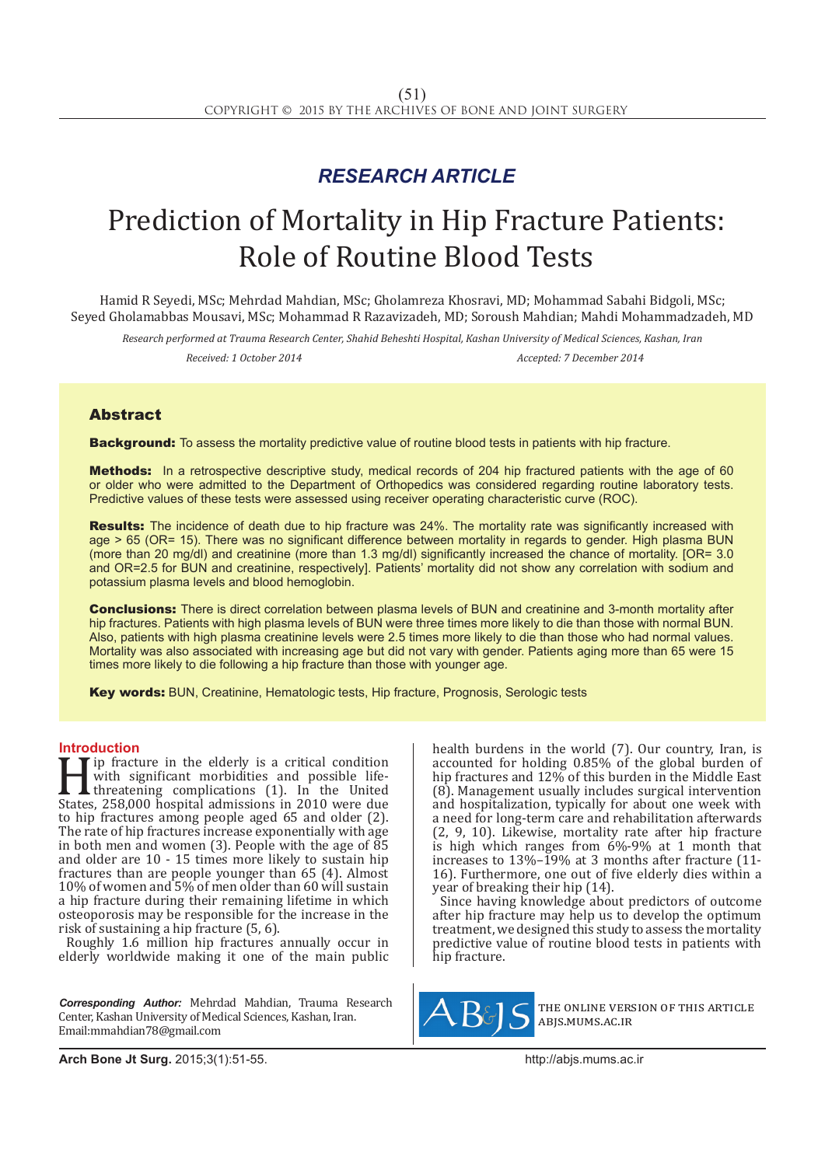## *RESEARCH ARTICLE*

# Prediction of Mortality in Hip Fracture Patients: Role of Routine Blood Tests

Hamid R Seyedi, MSc; Mehrdad Mahdian, MSc; Gholamreza Khosravi, MD; Mohammad Sabahi Bidgoli, MSc; Seyed Gholamabbas Mousavi, MSc; Mohammad R Razavizadeh, MD; Soroush Mahdian; Mahdi Mohammadzadeh, MD

*Research performed at Trauma Research Center, Shahid Beheshti Hospital, Kashan University of Medical Sciences, Kashan, Iran Received: 1 October 2014 Accepted: 7 December 2014*

### Abstract

**Background:** To assess the mortality predictive value of routine blood tests in patients with hip fracture.

Methods: In a retrospective descriptive study, medical records of 204 hip fractured patients with the age of 60 or older who were admitted to the Department of Orthopedics was considered regarding routine laboratory tests. Predictive values of these tests were assessed using receiver operating characteristic curve (ROC).

Results: The incidence of death due to hip fracture was 24%. The mortality rate was significantly increased with age > 65 (OR= 15). There was no significant difference between mortality in regards to gender. High plasma BUN (more than 20 mg/dl) and creatinine (more than 1.3 mg/dl) significantly increased the chance of mortality. [OR= 3.0 and OR=2.5 for BUN and creatinine, respectively]. Patients' mortality did not show any correlation with sodium and potassium plasma levels and blood hemoglobin.

Conclusions: There is direct correlation between plasma levels of BUN and creatinine and 3-month mortality after hip fractures. Patients with high plasma levels of BUN were three times more likely to die than those with normal BUN. Also, patients with high plasma creatinine levels were 2.5 times more likely to die than those who had normal values. Mortality was also associated with increasing age but did not vary with gender. Patients aging more than 65 were 15 times more likely to die following a hip fracture than those with younger age.

Key words: BUN, Creatinine, Hematologic tests, Hip fracture, Prognosis, Serologic tests

**Introduction**<br>**T I** ip fracture in the elderly is a critical condition Formulation with significant morbidities and possible life-<br>threatening complications (1). In the United<br>States, 258,000 hospital admissions in 2010 were due<br>to bin fractures among people aged 65 and older (2) with significant morbidities and possible lifethreatening complications (1). In the United States, 258,000 hospital admissions in 2010 were due to hip fractures among people aged 65 and older (2). The rate of hip fractures increase exponentially with age in both men and women  $(3)$ . People with the age of  $\overline{85}$ and older are 10 - 15 times more likely to sustain hip fractures than are people younger than 65 (4). Almost 10% of women and 5% of men older than 60 will sustain a hip fracture during their remaining lifetime in which osteoporosis may be responsible for the increase in the risk of sustaining a hip fracture (5, 6).

Roughly 1.6 million hip fractures annually occur in elderly worldwide making it one of the main public

*Corresponding Author:* Mehrdad Mahdian, Trauma Research Center, Kashan University of Medical Sciences, Kashan, Iran. Email:mmahdian78@gmail.com

health burdens in the world (7). Our country, Iran, is accounted for holding 0.85% of the global burden of hip fractures and 12% of this burden in the Middle East (8). Management usually includes surgical intervention and hospitalization, typically for about one week with a need for long-term care and rehabilitation afterwards (2, 9, 10). Likewise, mortality rate after hip fracture is high which ranges from 6%-9% at 1 month that increases to 13%–19% at 3 months after fracture (11- 16). Furthermore, one out of five elderly dies within a year of breaking their hip (14).

Since having knowledge about predictors of outcome after hip fracture may help us to develop the optimum treatment, we designed this study to assess the mortality predictive value of routine blood tests in patients with hip fracture.



the online version of this article abjs.mums.ac.ir

**Arch Bone Jt Surg.** 2015;3(1):51-55.http://abjs.mums.ac.ir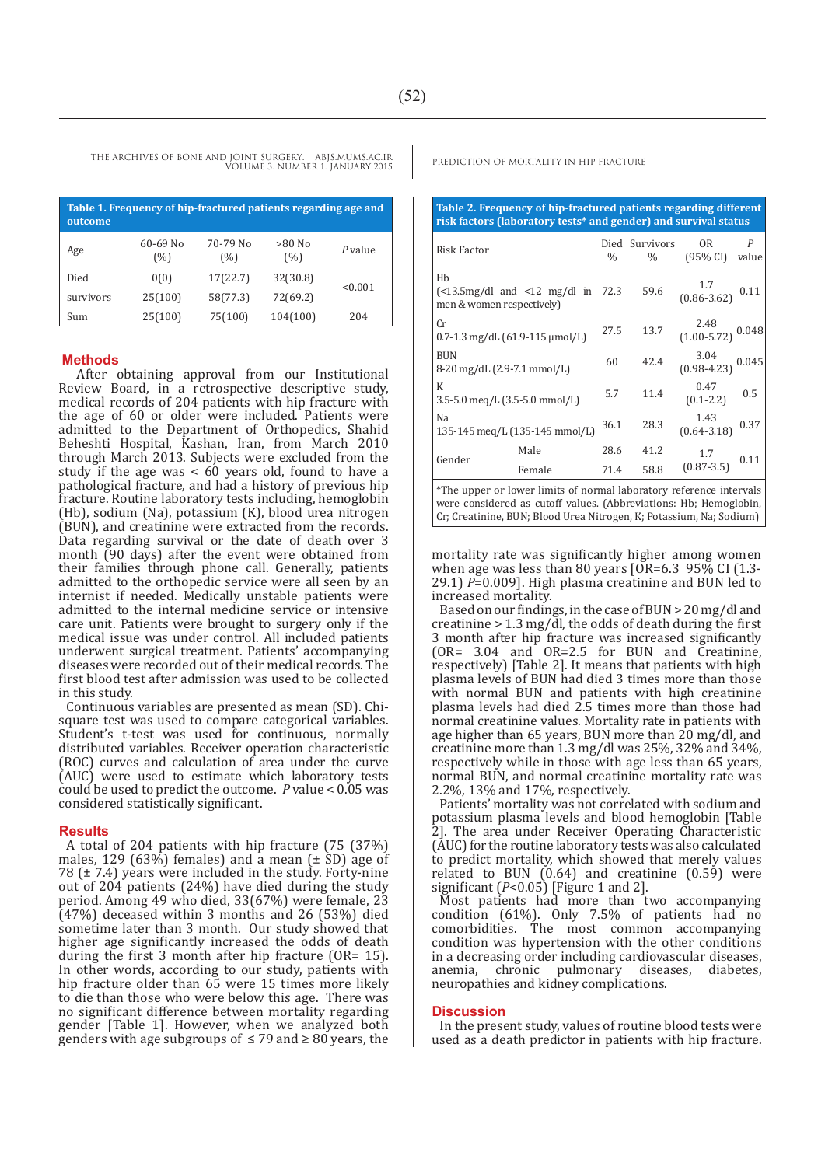THE ARCHIVES OF BONE AND JOINT SURGERY. ABJS.MUMS.AC.IR PREDICTION OF MORTALITY IN HIP FRACTURE VOLUME 3. NUMBER 1. JANUARY 2015

| Table 1. Frequency of hip-fractured patients regarding age and<br>outcome |                     |                 |                 |         |  |  |  |
|---------------------------------------------------------------------------|---------------------|-----------------|-----------------|---------|--|--|--|
| Age                                                                       | $60 - 69$ No<br>(%) | 70-79 No<br>(%) | $>80$ No<br>(%) | P value |  |  |  |
| Died                                                                      | 0(0)                | 17(22.7)        | 32(30.8)        | < 0.001 |  |  |  |
| survivors                                                                 | 25(100)             | 58(77.3)        | 72(69.2)        |         |  |  |  |
| Sum                                                                       | 25(100)             | 75(100)         | 104(100)        | 204     |  |  |  |

#### **Methods**

 After obtaining approval from our Institutional Review Board, in a retrospective descriptive study, medical records of 204 patients with hip fracture with the age of 60 or older were included. Patients were admitted to the Department of Orthopedics, Shahid Beheshti Hospital, Kashan, Iran, from March 2010 through March 2013. Subjects were excluded from the study if the age was  $< 60$  years old, found to have a pathological fracture, and had a history of previous hip fracture. Routine laboratory tests including, hemoglobin (Hb), sodium (Na), potassium (K), blood urea nitrogen (BUN), and creatinine were extracted from the records. Data regarding survival or the date of death over 3 month (90 days) after the event were obtained from their families through phone call. Generally, patients admitted to the orthopedic service were all seen by an internist if needed. Medically unstable patients were admitted to the internal medicine service or intensive care unit. Patients were brought to surgery only if the medical issue was under control. All included patients underwent surgical treatment. Patients' accompanying diseases were recorded out of their medical records. The first blood test after admission was used to be collected in this study.

Continuous variables are presented as mean (SD). Chisquare test was used to compare categorical variables. Student's t-test was used for continuous, normally distributed variables. Receiver operation characteristic (ROC) curves and calculation of area under the curve (AUC) were used to estimate which laboratory tests could be used to predict the outcome. *P* value < 0.05 was considered statistically significant.

#### **Results**

A total of 204 patients with hip fracture (75 (37%) males, 129 (63%) females) and a mean  $(\pm \text{ SD})$  age of 78 (± 7.4) years were included in the study. Forty-nine out of 204 patients (24%) have died during the study period. Among 49 who died, 33(67%) were female, 23 (47%) deceased within 3 months and 26 (53%) died sometime later than 3 month. Our study showed that higher age significantly increased the odds of death during the first 3 month after hip fracture (OR= 15). In other words, according to our study, patients with hip fracture older than 65 were 15 times more likely to die than those who were below this age. There was no significant difference between mortality regarding gender [Table 1]. However, when we analyzed both genders with age subgroups of  $\leq$  79 and  $\geq$  80 years, the

**Table 2. Frequency of hip-fractured patients regarding different risk factors (laboratory tests\* and gender) and survival status** 

| Risk Factor                                                                         |                                                                                                                                                                                                                                                                                                             |      | Died Survivors | 0 <sub>R</sub>                                           | $\boldsymbol{P}$ |
|-------------------------------------------------------------------------------------|-------------------------------------------------------------------------------------------------------------------------------------------------------------------------------------------------------------------------------------------------------------------------------------------------------------|------|----------------|----------------------------------------------------------|------------------|
|                                                                                     |                                                                                                                                                                                                                                                                                                             | $\%$ | $\%$           | (95% CI)                                                 | value            |
| Hb<br>$\frac{5m}{4}$ (<13.5mg/dl and <12 mg/dl in 72.3<br>men & women respectively) |                                                                                                                                                                                                                                                                                                             |      | 59.6           | $\begin{array}{cc} 1.7 \\ (0.86-3.62) \end{array}$ 0.11  |                  |
| Cr<br>$0.7 - 1.3$ mg/dL $(61.9 - 115$ µmol/L)                                       |                                                                                                                                                                                                                                                                                                             | 27.5 | 13.7           | $\begin{array}{c} 2.48 \\ (1.00-5.72) \end{array}$ 0.048 |                  |
| <b>BUN</b><br>8-20 mg/dL (2.9-7.1 mmol/L)                                           |                                                                                                                                                                                                                                                                                                             | 60   | 42.4           | $3.04$<br>(0.98-4.23)                                    | 0.045            |
| K<br>3.5-5.0 meg/L (3.5-5.0 mmol/L)                                                 |                                                                                                                                                                                                                                                                                                             | 5.7  | 11.4           | 0.47<br>$(0.1 - 2.2)$                                    | 0.5              |
| Na<br>135-145 meg/L (135-145 mmol/L)                                                |                                                                                                                                                                                                                                                                                                             | 36.1 | 28.3           | 1.43<br>$(0.64 - 3.18)$                                  | 0.37             |
| Gender                                                                              | Male                                                                                                                                                                                                                                                                                                        | 28.6 | 41.2           |                                                          | 0.11             |
|                                                                                     | Female                                                                                                                                                                                                                                                                                                      | 71.4 | 58.8           | $1.7$<br>(0.87-3.5)                                      |                  |
| darren 1                                                                            | $\mathbf{1}$ , $\mathbf{1}$ , $\mathbf{1}$ , $\mathbf{1}$ , $\mathbf{1}$ , $\mathbf{1}$ , $\mathbf{1}$ , $\mathbf{1}$ , $\mathbf{1}$ , $\mathbf{1}$ , $\mathbf{1}$ , $\mathbf{1}$ , $\mathbf{1}$ , $\mathbf{1}$ , $\mathbf{1}$ , $\mathbf{1}$ , $\mathbf{1}$ , $\mathbf{1}$ , $\mathbf{1}$ , $\mathbf{1}$ , |      |                |                                                          |                  |

\*The upper or lower limits of normal laboratory reference intervals were considered as cutoff values. (Abbreviations: Hb; Hemoglobin, Cr; Creatinine, BUN; Blood Urea Nitrogen, K; Potassium, Na; Sodium)

mortality rate was significantly higher among women when age was less than 80 years  $[OR=6.3 \ 95\% \ CI \ [1.3-$ 29.1) *P*=0.009]. High plasma creatinine and BUN led to increased mortality.

Based on our findings, in the case of BUN > 20 mg/dl and creatinine > 1.3 mg/dl, the odds of death during the first 3 month after hip fracture was increased significantly (OR= 3.04 and OR=2.5 for BUN and Creatinine, respectively) [Table 2]. It means that patients with high plasma levels of BUN had died 3 times more than those with normal BUN and patients with high creatinine plasma levels had died 2.5 times more than those had normal creatinine values. Mortality rate in patients with age higher than 65 years, BUN more than 20 mg/dl, and creatinine more than 1.3 mg/dl was 25%, 32% and 34%, respectively while in those with age less than 65 years, normal BUN, and normal creatinine mortality rate was 2.2%, 13% and 17%, respectively.

Patients' mortality was not correlated with sodium and potassium plasma levels and blood hemoglobin [Table 2]. The area under Receiver Operating Characteristic (AUC) for the routine laboratory tests was also calculated to predict mortality, which showed that merely values related to BUN (0.64) and creatinine (0.59) were significant (*P*<0.05) [Figure 1 and 2].

Most patients had more than two accompanying condition (61%). Only 7.5% of patients had no comorbidities. The most common accompanying condition was hypertension with the other conditions in a decreasing order including cardiovascular diseases, chronic pulmonary diseases, diabetes, neuropathies and kidney complications.

#### **Discussion**

In the present study, values of routine blood tests were used as a death predictor in patients with hip fracture.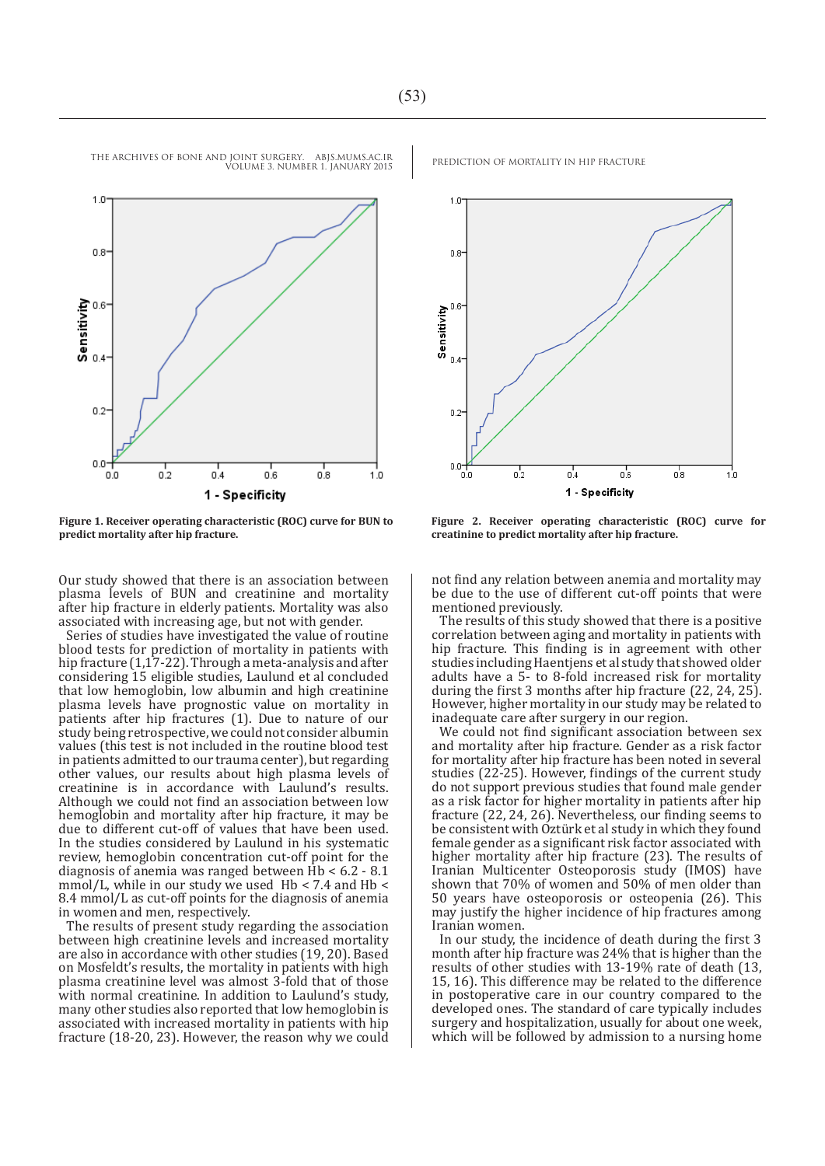

**Figure 1. Receiver operating characteristic (ROC) curve for BUN to predict mortality after hip fracture.**

Our study showed that there is an association between plasma levels of BUN and creatinine and mortality after hip fracture in elderly patients. Mortality was also associated with increasing age, but not with gender.

Series of studies have investigated the value of routine blood tests for prediction of mortality in patients with hip fracture (1,17-22). Through a meta-analysis and after considering 15 eligible studies, Laulund et al concluded that low hemoglobin, low albumin and high creatinine plasma levels have prognostic value on mortality in patients after hip fractures (1). Due to nature of our study being retrospective, we could not consider albumin values (this test is not included in the routine blood test in patients admitted to our trauma center), but regarding other values, our results about high plasma levels of creatinine is in accordance with Laulund's results. Although we could not find an association between low hemoglobin and mortality after hip fracture, it may be due to different cut-off of values that have been used. In the studies considered by Laulund in his systematic review, hemoglobin concentration cut-off point for the diagnosis of anemia was ranged between  $\hat{H}b < 6.2 - 8.1$ mmol/L, while in our study we used Hb < 7.4 and Hb < 8.4 mmol/L as cut-off points for the diagnosis of anemia in women and men, respectively.

The results of present study regarding the association between high creatinine levels and increased mortality are also in accordance with other studies (19, 20). Based on Mosfeldt's results, the mortality in patients with high plasma creatinine level was almost 3-fold that of those with normal creatinine. In addition to Laulund's study, many other studies also reported that low hemoglobin is associated with increased mortality in patients with hip fracture (18-20, 23). However, the reason why we could



**Figure 2. Receiver operating characteristic (ROC) curve for creatinine to predict mortality after hip fracture.**

not find any relation between anemia and mortality may be due to the use of different cut-off points that were mentioned previously.

The results of this study showed that there is a positive correlation between aging and mortality in patients with hip fracture. This finding is in agreement with other studies including Haentjens et al study that showed older adults have a 5- to 8-fold increased risk for mortality during the first 3 months after hip fracture (22, 24, 25). However, higher mortality in our study may be related to inadequate care after surgery in our region.

We could not find significant association between sex and mortality after hip fracture. Gender as a risk factor for mortality after hip fracture has been noted in several studies (22-25). However, findings of the current study do not support previous studies that found male gender as a risk factor for higher mortality in patients after hip fracture (22, 24, 26). Nevertheless, our finding seems to be consistent with Oztürk et al study in which they found female gender as a significant risk factor associated with higher mortality after hip fracture (23). The results of Iranian Multicenter Osteoporosis study (IMOS) have shown that 70% of women and 50% of men older than 50 years have osteoporosis or osteopenia (26). This may justify the higher incidence of hip fractures among Iranian women.

In our study, the incidence of death during the first 3 month after hip fracture was 24% that is higher than the results of other studies with 13-19% rate of death (13, 15, 16). This difference may be related to the difference in postoperative care in our country compared to the developed ones. The standard of care typically includes surgery and hospitalization, usually for about one week, which will be followed by admission to a nursing home

THE ARCHIVES OF BONE AND JOINT SURGERY. ABJS.MUMS.AC.IR PREDICTION OF MORTALITY IN HIP FRACTURE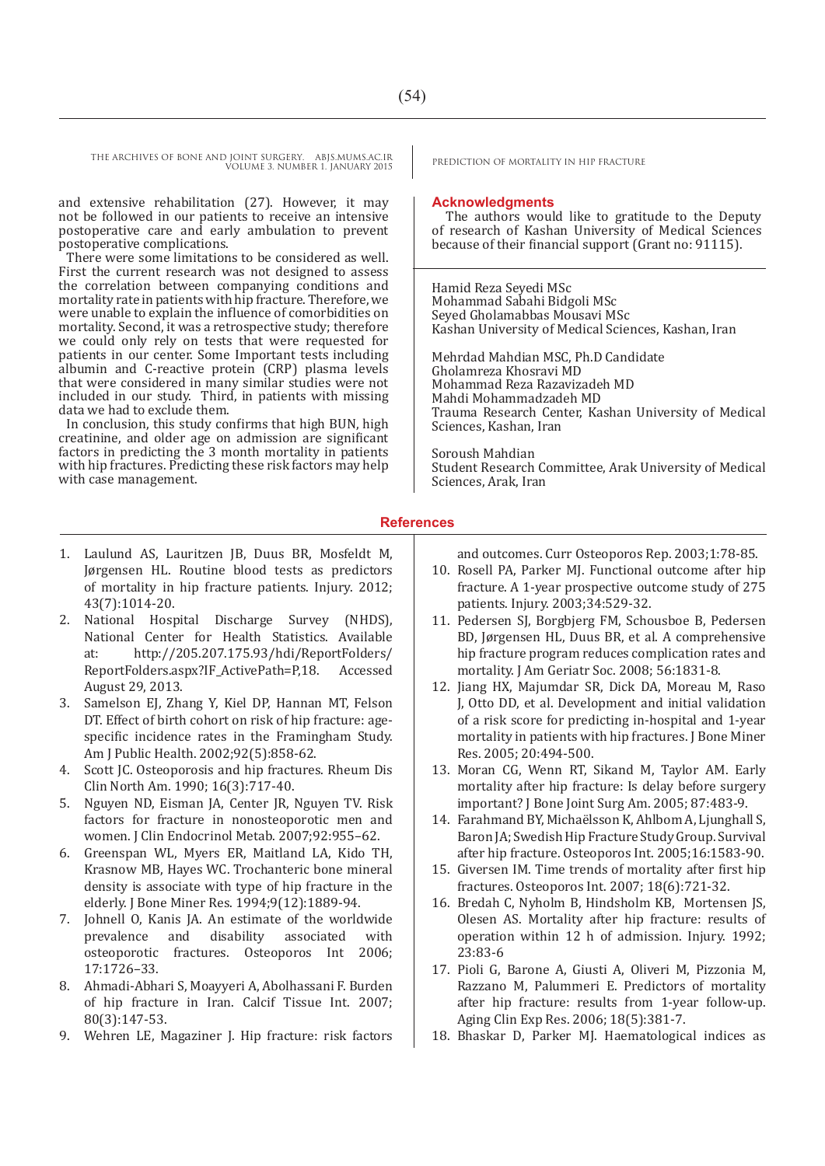THE ARCHIVES OF BONE AND JOINT SURGERY. ABJS.MUMS.AC.IR PREDICTION OF MORTALITY IN HIP FRACTURE VOLUME 3. NUMBER 1. JANUARY 2015

and extensive rehabilitation (27). However, it may not be followed in our patients to receive an intensive postoperative care and early ambulation to prevent postoperative complications.

There were some limitations to be considered as well. First the current research was not designed to assess the correlation between companying conditions and mortality rate in patients with hip fracture. Therefore, we were unable to explain the influence of comorbidities on mortality. Second, it was a retrospective study; therefore we could only rely on tests that were requested for patients in our center. Some Important tests including albumin and C-reactive protein (CRP) plasma levels that were considered in many similar studies were not included in our study. Third, in patients with missing data we had to exclude them.

In conclusion, this study confirms that high BUN, high creatinine, and older age on admission are significant factors in predicting the 3 month mortality in patients with hip fractures. Predicting these risk factors may help with case management.

- 1. Laulund AS, Lauritzen JB, Duus BR, Mosfeldt M, Jørgensen HL. Routine blood tests as predictors of mortality in hip fracture patients. Injury. 2012; 43(7):1014-20.
- 2. National Hospital Discharge Survey (NHDS), National Center for Health Statistics. Available at: http://205.207.175.93/hdi/ReportFolders/ ReportFolders.aspx?IF\_ActivePath=P,18. Accessed August 29, 2013.
- 3. Samelson EJ, Zhang Y, Kiel DP, Hannan MT, Felson DT. Effect of birth cohort on risk of hip fracture: agespecific incidence rates in the Framingham Study. Am J Public Health. 2002;92(5):858-62.
- 4. Scott JC. Osteoporosis and hip fractures. Rheum Dis Clin North Am. 1990; 16(3):717-40.
- 5. Nguyen ND, Eisman JA, Center JR, Nguyen TV. Risk factors for fracture in nonosteoporotic men and women. J Clin Endocrinol Metab. 2007;92:955–62.
- 6. Greenspan WL, Myers ER, Maitland LA, Kido TH, Krasnow MB, Hayes WC. Trochanteric bone mineral density is associate with type of hip fracture in the elderly. J Bone Miner Res. 1994;9(12):1889-94.
- 7. Johnell O, Kanis JA. An estimate of the worldwide prevalence osteoporotic fractures. Osteoporos Int 2006; 17:1726–33.
- 8. Ahmadi-Abhari S, Moayyeri A, Abolhassani F. Burden of hip fracture in Iran. Calcif Tissue Int. 2007; 80(3):147-53.
- 9. Wehren LE, Magaziner J. Hip fracture: risk factors

#### **Acknowledgments**

 The authors would like to gratitude to the Deputy of research of Kashan University of Medical Sciences because of their financial support (Grant no: 91115).

Hamid Reza Seyedi MSc Mohammad Sabahi Bidgoli MSc Seyed Gholamabbas Mousavi MSc Kashan University of Medical Sciences, Kashan, Iran

Mehrdad Mahdian MSC, Ph.D Candidate Gholamreza Khosravi MD Mohammad Reza Razavizadeh MD Mahdi Mohammadzadeh MD Trauma Research Center, Kashan University of Medical Sciences, Kashan, Iran

Soroush Mahdian Student Research Committee, Arak University of Medical Sciences, Arak, Iran

#### **References**

and outcomes. Curr Osteoporos Rep. 2003;1:78-85.

- 10. Rosell PA, Parker MJ. Functional outcome after hip fracture. A 1-year prospective outcome study of 275 patients. Injury. 2003;34:529-32.
- 11. Pedersen SJ, Borgbjerg FM, Schousboe B, Pedersen BD, Jørgensen HL, Duus BR, et al. A comprehensive hip fracture program reduces complication rates and mortality. J Am Geriatr Soc. 2008; 56:1831-8.
- 12. Jiang HX, Majumdar SR, Dick DA, Moreau M, Raso J, Otto DD, et al. Development and initial validation of a risk score for predicting in-hospital and 1-year mortality in patients with hip fractures. J Bone Miner Res. 2005; 20:494-500.
- 13. Moran CG, Wenn RT, Sikand M, Taylor AM. Early mortality after hip fracture: Is delay before surgery important? J Bone Joint Surg Am. 2005; 87:483-9.
- 14. Farahmand BY, Michaëlsson K, Ahlbom A, Ljunghall S, Baron JA; Swedish Hip Fracture Study Group. Survival after hip fracture. Osteoporos Int. 2005;16:1583-90.
- 15. Giversen IM. Time trends of mortality after first hip fractures. Osteoporos Int. 2007; 18(6):721-32.
- 16. Bredah C, Nyholm B, Hindsholm KB, Mortensen JS, Olesen AS. Mortality after hip fracture: results of operation within 12 h of admission. Injury. 1992; 23:83-6
- 17. Pioli G, Barone A, Giusti A, Oliveri M, Pizzonia M, Razzano M, Palummeri E. Predictors of mortality after hip fracture: results from 1-year follow-up. Aging Clin Exp Res. 2006; 18(5):381-7.
- 18. Bhaskar D, Parker MJ. Haematological indices as